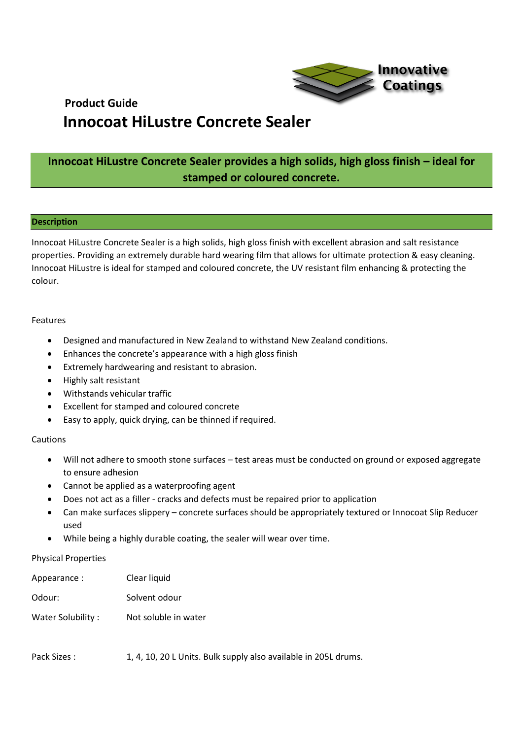

# **Innocoat HiLustre Concrete Sealer provides a high solids, high gloss finish – ideal for stamped or coloured concrete.**

# **Description**

Innocoat HiLustre Concrete Sealer is a high solids, high gloss finish with excellent abrasion and salt resistance properties. Providing an extremely durable hard wearing film that allows for ultimate protection & easy cleaning. Innocoat HiLustre is ideal for stamped and coloured concrete, the UV resistant film enhancing & protecting the colour.

## Features

- Designed and manufactured in New Zealand to withstand New Zealand conditions.
- Enhances the concrete's appearance with a high gloss finish
- Extremely hardwearing and resistant to abrasion.
- Highly salt resistant
- Withstands vehicular traffic
- Excellent for stamped and coloured concrete
- Easy to apply, quick drying, can be thinned if required.

# Cautions

- Will not adhere to smooth stone surfaces test areas must be conducted on ground or exposed aggregate to ensure adhesion
- Cannot be applied as a waterproofing agent
- Does not act as a filler cracks and defects must be repaired prior to application
- Can make surfaces slippery concrete surfaces should be appropriately textured or Innocoat Slip Reducer used
- While being a highly durable coating, the sealer will wear over time.

# Physical Properties

| Appearance :      | Clear liquid         |
|-------------------|----------------------|
| Odour:            | Solvent odour        |
| Water Solubility: | Not soluble in water |

Pack Sizes : 1, 4, 10, 20 L Units. Bulk supply also available in 205L drums.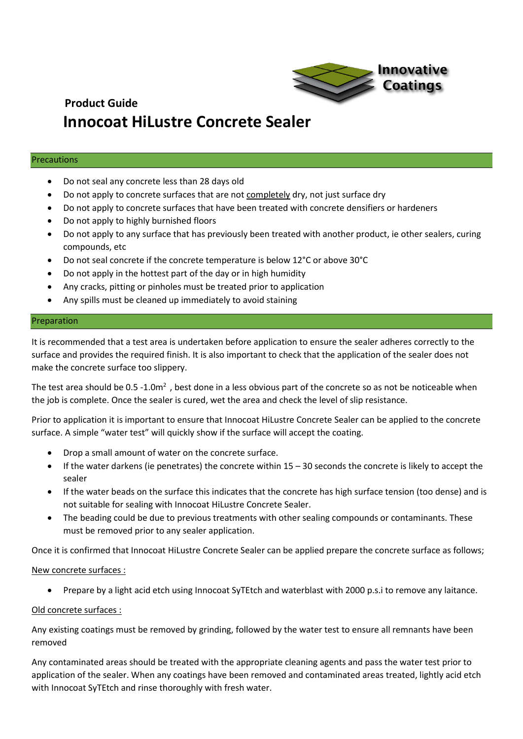

## Precautions

- Do not seal any concrete less than 28 days old
- Do not apply to concrete surfaces that are not completely dry, not just surface dry
- Do not apply to concrete surfaces that have been treated with concrete densifiers or hardeners
- Do not apply to highly burnished floors
- Do not apply to any surface that has previously been treated with another product, ie other sealers, curing compounds, etc
- Do not seal concrete if the concrete temperature is below 12°C or above 30°C
- Do not apply in the hottest part of the day or in high humidity
- Any cracks, pitting or pinholes must be treated prior to application
- Any spills must be cleaned up immediately to avoid staining

## Preparation

It is recommended that a test area is undertaken before application to ensure the sealer adheres correctly to the surface and provides the required finish. It is also important to check that the application of the sealer does not make the concrete surface too slippery.

The test area should be  $0.5 - 1.0m^2$ , best done in a less obvious part of the concrete so as not be noticeable when the job is complete. Once the sealer is cured, wet the area and check the level of slip resistance.

Prior to application it is important to ensure that Innocoat HiLustre Concrete Sealer can be applied to the concrete surface. A simple "water test" will quickly show if the surface will accept the coating.

- Drop a small amount of water on the concrete surface.
- $\bullet$  If the water darkens (ie penetrates) the concrete within  $15 30$  seconds the concrete is likely to accept the sealer
- If the water beads on the surface this indicates that the concrete has high surface tension (too dense) and is not suitable for sealing with Innocoat HiLustre Concrete Sealer.
- The beading could be due to previous treatments with other sealing compounds or contaminants. These must be removed prior to any sealer application.

Once it is confirmed that Innocoat HiLustre Concrete Sealer can be applied prepare the concrete surface as follows;

# New concrete surfaces :

• Prepare by a light acid etch using Innocoat SyTEtch and waterblast with 2000 p.s.i to remove any laitance.

# Old concrete surfaces :

Any existing coatings must be removed by grinding, followed by the water test to ensure all remnants have been removed

Any contaminated areas should be treated with the appropriate cleaning agents and pass the water test prior to application of the sealer. When any coatings have been removed and contaminated areas treated, lightly acid etch with Innocoat SyTEtch and rinse thoroughly with fresh water.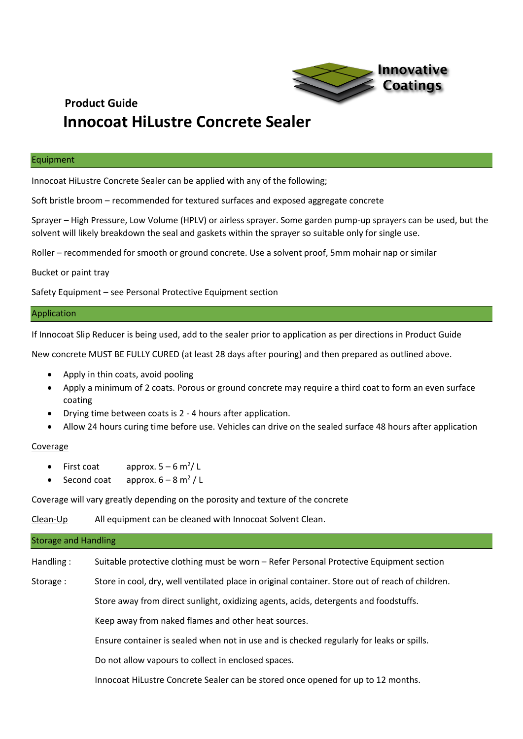

#### Equipment

Innocoat HiLustre Concrete Sealer can be applied with any of the following;

Soft bristle broom – recommended for textured surfaces and exposed aggregate concrete

Sprayer – High Pressure, Low Volume (HPLV) or airless sprayer. Some garden pump-up sprayers can be used, but the solvent will likely breakdown the seal and gaskets within the sprayer so suitable only for single use.

Roller – recommended for smooth or ground concrete. Use a solvent proof, 5mm mohair nap or similar

Bucket or paint tray

Safety Equipment – see Personal Protective Equipment section

#### Application

If Innocoat Slip Reducer is being used, add to the sealer prior to application as per directions in Product Guide

New concrete MUST BE FULLY CURED (at least 28 days after pouring) and then prepared as outlined above.

- Apply in thin coats, avoid pooling
- Apply a minimum of 2 coats. Porous or ground concrete may require a third coat to form an even surface coating
- Drying time between coats is 2 4 hours after application.
- Allow 24 hours curing time before use. Vehicles can drive on the sealed surface 48 hours after application

## Coverage

- First coat approx.  $5 6$  m<sup>2</sup>/L
- Second coat approx.  $6 8$  m<sup>2</sup>/L

Coverage will vary greatly depending on the porosity and texture of the concrete

Clean-Up All equipment can be cleaned with Innocoat Solvent Clean.

# Storage and Handling Handling : Suitable protective clothing must be worn – Refer Personal Protective Equipment section Storage : Store in cool, dry, well ventilated place in original container. Store out of reach of children. Store away from direct sunlight, oxidizing agents, acids, detergents and foodstuffs. Keep away from naked flames and other heat sources. Ensure container is sealed when not in use and is checked regularly for leaks or spills. Do not allow vapours to collect in enclosed spaces. Innocoat HiLustre Concrete Sealer can be stored once opened for up to 12 months.